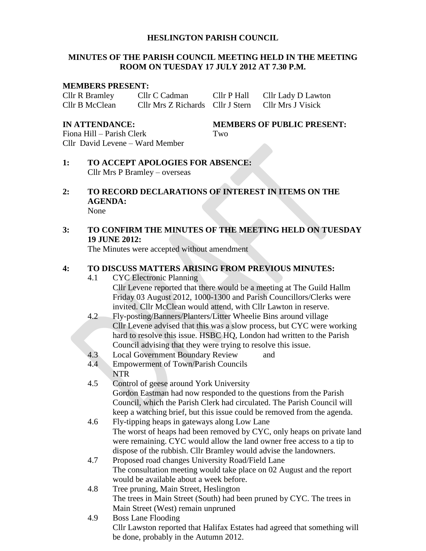#### **HESLINGTON PARISH COUNCIL**

#### **MINUTES OF THE PARISH COUNCIL MEETING HELD IN THE MEETING ROOM ON TUESDAY 17 JULY 2012 AT 7.30 P.M.**

#### **MEMBERS PRESENT:**

Cllr R Bramley Cllr C Cadman Cllr P Hall Cllr Lady D Lawton Cllr B McClean Cllr Mrs Z Richards Cllr J Stern Cllr Mrs J Visick

Fiona Hill – Parish Clerk Two Cllr David Levene – Ward Member

**IN ATTENDANCE: MEMBERS OF PUBLIC PRESENT:**

- **1: TO ACCEPT APOLOGIES FOR ABSENCE:** Cllr Mrs P Bramley – overseas
- **2: TO RECORD DECLARATIONS OF INTEREST IN ITEMS ON THE AGENDA:** None

# **3: TO CONFIRM THE MINUTES OF THE MEETING HELD ON TUESDAY 19 JUNE 2012:**

The Minutes were accepted without amendment

## **4: TO DISCUSS MATTERS ARISING FROM PREVIOUS MINUTES:**

- 4.1 CYC Electronic Planning Cllr Levene reported that there would be a meeting at The Guild Hallm Friday 03 August 2012, 1000-1300 and Parish Councillors/Clerks were invited. Cllr McClean would attend, with Cllr Lawton in reserve.
- 4.2 Fly-posting/Banners/Planters/Litter Wheelie Bins around village Cllr Levene advised that this was a slow process, but CYC were working hard to resolve this issue. HSBC HQ, London had written to the Parish Council advising that they were trying to resolve this issue.
- 4.3 Local Government Boundary Review and
- 4.4 Empowerment of Town/Parish Councils NTR
- 4.5 Control of geese around York University Gordon Eastman had now responded to the questions from the Parish Council, which the Parish Clerk had circulated. The Parish Council will keep a watching brief, but this issue could be removed from the agenda.
- 4.6 Fly-tipping heaps in gateways along Low Lane The worst of heaps had been removed by CYC, only heaps on private land were remaining. CYC would allow the land owner free access to a tip to dispose of the rubbish. Cllr Bramley would advise the landowners.
- 4.7 Proposed road changes University Road/Field Lane The consultation meeting would take place on 02 August and the report would be available about a week before.
- 4.8 Tree pruning, Main Street, Heslington The trees in Main Street (South) had been pruned by CYC. The trees in Main Street (West) remain unpruned
- 4.9 Boss Lane Flooding Cllr Lawston reported that Halifax Estates had agreed that something will be done, probably in the Autumn 2012.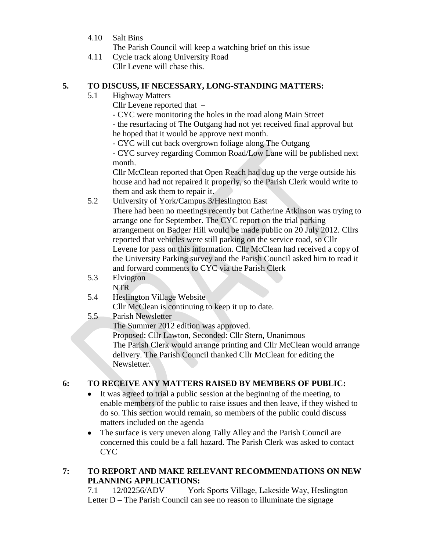4.10 Salt Bins

The Parish Council will keep a watching brief on this issue

4.11 Cycle track along University Road Cllr Levene will chase this.

#### **5. TO DISCUSS, IF NECESSARY, LONG-STANDING MATTERS:**

5.1 Highway Matters

Cllr Levene reported that –

- CYC were monitoring the holes in the road along Main Street

- the resurfacing of The Outgang had not yet received final approval but he hoped that it would be approve next month.

- CYC will cut back overgrown foliage along The Outgang

- CYC survey regarding Common Road/Low Lane will be published next month.

Cllr McClean reported that Open Reach had dug up the verge outside his house and had not repaired it properly, so the Parish Clerk would write to them and ask them to repair it.

5.2 University of York/Campus 3/Heslington East

There had been no meetings recently but Catherine Atkinson was trying to arrange one for September. The CYC report on the trial parking arrangement on Badger Hill would be made public on 20 July 2012. Cllrs reported that vehicles were still parking on the service road, so Cllr Levene for pass on this information. Cllr McClean had received a copy of the University Parking survey and the Parish Council asked him to read it and forward comments to CYC via the Parish Clerk

- 5.3 Elvington NTR
- 5.4 Heslington Village Website

Cllr McClean is continuing to keep it up to date.

5.5 Parish Newsletter The Summer 2012 edition was approved. Proposed: Cllr Lawton, Seconded: Cllr Stern, Unanimous The Parish Clerk would arrange printing and Cllr McClean would arrange delivery. The Parish Council thanked Cllr McClean for editing the Newsletter.

## **6: TO RECEIVE ANY MATTERS RAISED BY MEMBERS OF PUBLIC:**

- It was agreed to trial a public session at the beginning of the meeting, to  $\bullet$ enable members of the public to raise issues and then leave, if they wished to do so. This section would remain, so members of the public could discuss matters included on the agenda
- The surface is very uneven along Tally Alley and the Parish Council are  $\bullet$ concerned this could be a fall hazard. The Parish Clerk was asked to contact CYC

#### **7: TO REPORT AND MAKE RELEVANT RECOMMENDATIONS ON NEW PLANNING APPLICATIONS:**

7.1 12/02256/ADV York Sports Village, Lakeside Way, Heslington Letter D – The Parish Council can see no reason to illuminate the signage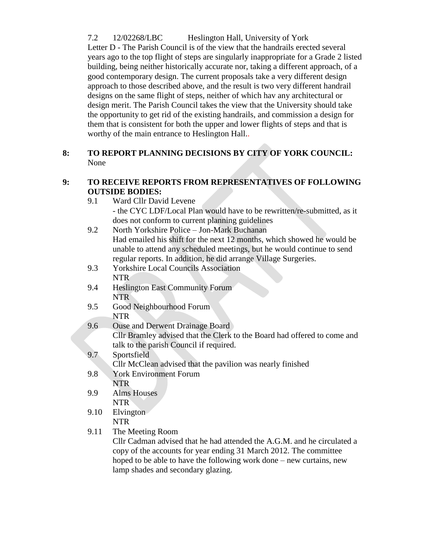7.2 12/02268/LBC Heslington Hall, University of York Letter D - The Parish Council is of the view that the handrails erected several years ago to the top flight of steps are singularly inappropriate for a Grade 2 listed building, being neither historically accurate nor, taking a different approach, of a good contemporary design. The current proposals take a very different design approach to those described above, and the result is two very different handrail designs on the same flight of steps, neither of which hav any architectural or design merit. The Parish Council takes the view that the University should take the opportunity to get rid of the existing handrails, and commission a design for them that is consistent for both the upper and lower flights of steps and that is worthy of the main entrance to Heslington Hall..

### **8: TO REPORT PLANNING DECISIONS BY CITY OF YORK COUNCIL:** None

## **9: TO RECEIVE REPORTS FROM REPRESENTATIVES OF FOLLOWING OUTSIDE BODIES:**

9.1 Ward Cllr David Levene

- the CYC LDF/Local Plan would have to be rewritten/re-submitted, as it does not conform to current planning guidelines

| 9.2 | North Yorkshire Police - Jon-Mark Buchanan                             |
|-----|------------------------------------------------------------------------|
|     | Had emailed his shift for the next 12 months, which showed he would be |
|     | unable to attend any scheduled meetings, but he would continue to send |
|     | regular reports. In addition, he did arrange Village Surgeries.        |
| 9.3 | <b>Yorkshire Local Councils Association</b>                            |
|     | <b>NTR</b>                                                             |

- 9.4 Heslington East Community Forum NTR
- 9.5 Good Neighbourhood Forum NTR
- 9.6 Ouse and Derwent Drainage Board Cllr Bramley advised that the Clerk to the Board had offered to come and talk to the parish Council if required.

# 9.7 Sportsfield

Cllr McClean advised that the pavilion was nearly finished

- 9.8 York Environment Forum NTR
- 9.9 Alms Houses NTR
- 9.10 Elvington

## NTR

9.11 The Meeting Room

Cllr Cadman advised that he had attended the A.G.M. and he circulated a copy of the accounts for year ending 31 March 2012. The committee hoped to be able to have the following work done – new curtains, new lamp shades and secondary glazing.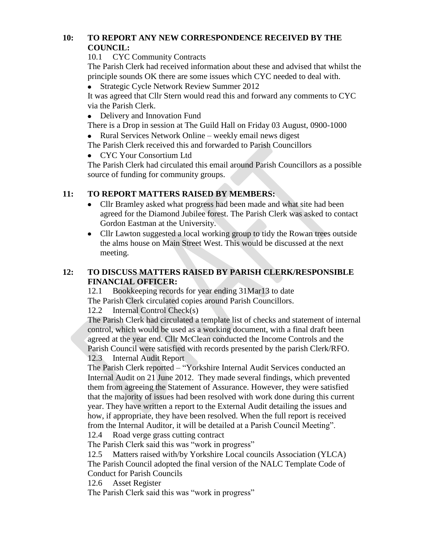## **10: TO REPORT ANY NEW CORRESPONDENCE RECEIVED BY THE COUNCIL:**

10.1 CYC Community Contracts

The Parish Clerk had received information about these and advised that whilst the principle sounds OK there are some issues which CYC needed to deal with.

Strategic Cycle Network Review Summer 2012  $\bullet$ 

It was agreed that Cllr Stern would read this and forward any comments to CYC via the Parish Clerk.

• Delivery and Innovation Fund

There is a Drop in session at The Guild Hall on Friday 03 August, 0900-1000 • Rural Services Network Online – weekly email news digest

The Parish Clerk received this and forwarded to Parish Councillors

CYC Your Consortium Ltd

The Parish Clerk had circulated this email around Parish Councillors as a possible source of funding for community groups.

# **11: TO REPORT MATTERS RAISED BY MEMBERS:**

- $\bullet$ Cllr Bramley asked what progress had been made and what site had been agreed for the Diamond Jubilee forest. The Parish Clerk was asked to contact Gordon Eastman at the University.
- Cllr Lawton suggested a local working group to tidy the Rowan trees outside  $\bullet$ the alms house on Main Street West. This would be discussed at the next meeting.

## **12: TO DISCUSS MATTERS RAISED BY PARISH CLERK/RESPONSIBLE FINANCIAL OFFICER:**

12.1 Bookkeeping records for year ending 31Mar13 to date The Parish Clerk circulated copies around Parish Councillors.

12.2 Internal Control Check(s)

The Parish Clerk had circulated a template list of checks and statement of internal control, which would be used as a working document, with a final draft been agreed at the year end. Cllr McClean conducted the Income Controls and the Parish Council were satisfied with records presented by the parish Clerk/RFO. 12.3 Internal Audit Report

The Parish Clerk reported – "Yorkshire Internal Audit Services conducted an Internal Audit on 21 June 2012. They made several findings, which prevented them from agreeing the Statement of Assurance. However, they were satisfied that the majority of issues had been resolved with work done during this current year. They have written a report to the External Audit detailing the issues and how, if appropriate, they have been resolved. When the full report is received from the Internal Auditor, it will be detailed at a Parish Council Meeting".

12.4 Road verge grass cutting contract

The Parish Clerk said this was "work in progress"

12.5 Matters raised with/by Yorkshire Local councils Association (YLCA) The Parish Council adopted the final version of the NALC Template Code of Conduct for Parish Councils

12.6 Asset Register

The Parish Clerk said this was "work in progress"